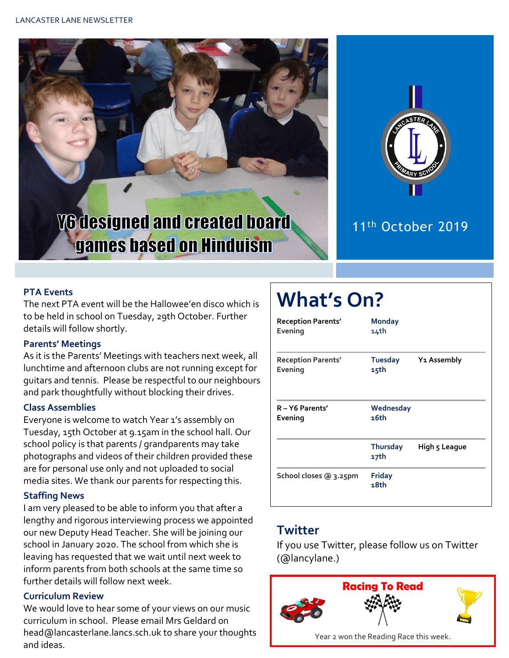



# 11th October 2019

#### **PTA Events**

The next PTA event will be the Hallowee'en disco which is to be held in school on Tuesday, 29th October. Further details will follow shortly.

#### **Parents' Meetings**

As it is the Parents' Meetings with teachers next week, all lunchtime and afternoon clubs are not running except for guitars and tennis. Please be respectful to our neighbours and park thoughtfully without blocking their drives.

#### **Class Assemblies**

Everyone is welcome to watch Year 1's assembly on Tuesday, 15th October at 9.15am in the school hall. Our school policy is that parents / grandparents may take photographs and videos of their children provided these are for personal use only and not uploaded to social media sites. We thank our parents for respecting this.

#### **Staffing News**

I am very pleased to be able to inform you that after a lengthy and rigorous interviewing process we appointed our new Deputy Head Teacher. She will be joining our school in January 2020. The school from which she is leaving has requested that we wait until next week to inform parents from both schools at the same time so further details will follow next week.

#### **Curriculum Review**

We would love to hear some of your views on our music curriculum in school. Please email Mrs Geldard on head@lancasterlane.lancs.sch.uk to share your thoughts and ideas.

# **What's On?**

| <b>Reception Parents'</b><br>Evening | <b>Monday</b><br>14th |                         |
|--------------------------------------|-----------------------|-------------------------|
| <b>Reception Parents'</b><br>Evening | Tuesday<br>15th       | Y <sub>1</sub> Assembly |
| R-Y6 Parents'<br>Evening             | Wednesday<br>16th     |                         |
|                                      | Thursday<br>17th      | High 5 League           |
| School closes @ 3.25pm               | <b>Friday</b><br>18th |                         |

### **Twitter**

If you use Twitter, please follow us on Twitter (@lancylane.)

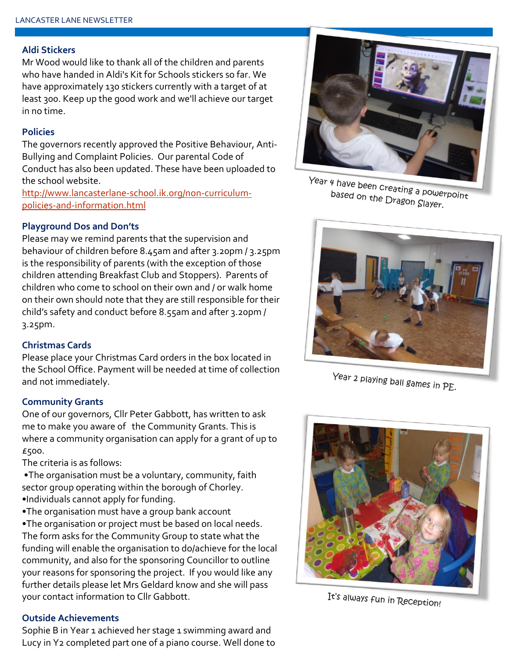#### **Aldi Stickers**

Mr Wood would like to thank all of the children and parents who have handed in Aldi's Kit for Schools stickers so far. We have approximately 130 stickers currently with a target of at least 300. Keep up the good work and we'll achieve our target in no time.

#### **Policies**

The governors recently approved the Positive Behaviour, Anti-Bullying and Complaint Policies. Our parental Code of Conduct has also been updated. These have been uploaded to the school website.

[http://www.lancasterlane-school.ik.org/non-curriculum](http://www.lancasterlane-school.ik.org/non-curriculum-policies-and-information.html)[policies-and-information.html](http://www.lancasterlane-school.ik.org/non-curriculum-policies-and-information.html)

#### **Playground Dos and Don'ts**

Please may we remind parents that the supervision and behaviour of children before 8.45am and after 3.20pm / 3.25pm is the responsibility of parents (with the exception of those children attending Breakfast Club and Stoppers). Parents of children who come to school on their own and / or walk home on their own should note that they are still responsible for their child's safety and conduct before 8.55am and after 3.20pm / 3.25pm.

#### **Christmas Cards**

Please place your Christmas Card orders in the box located in the School Office. Payment will be needed at time of collection and not immediately.

#### **Community Grants**

One of our governors, Cllr Peter Gabbott, has written to ask me to make you aware of the Community Grants. This is where a community organisation can apply for a grant of up to £500.

The criteria is as follows:

- •The organisation must be a voluntary, community, faith sector group operating within the borough of Chorley. •Individuals cannot apply for funding.
- •The organisation must have a group bank account
- •The organisation or project must be based on local needs. The form asks for the Community Group to state what the funding will enable the organisation to do/achieve for the local community, and also for the sponsoring Councillor to outline your reasons for sponsoring the project. If you would like any further details please let Mrs Geldard know and she will pass your contact information to Cllr Gabbott.

#### **Outside Achievements**

Sophie B in Year 1 achieved her stage 1 swimming award and Lucy in Y2 completed part one of a piano course. Well done to



Year 4 have been creating a powerpoint<br>based on the Dragon Clave based on the Dragon Slayer.



Year 2 playing ball games in PE.



It's always fun in Reception!